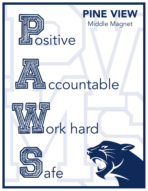

## **ANDREW SEARCH SEARCH SEARCH SEARCH SEARCH SEARCH SEARCH SEARCH SEARCH SEARCH SEARCH SEARCH SEARCH SEARCH SEARCH** ccountable





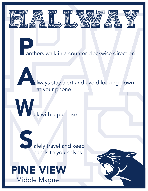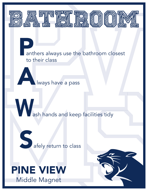



## Middle Magnet PINE VIEW

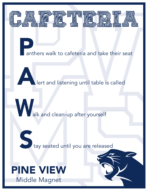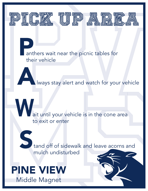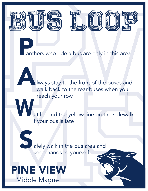



**Pant** anthers who ride a bus are only in this area

A lways stay to the front of the buses and walk back to the rear buses when you reach your row

W. ait behind the yellow line on the sidewalk if your bus is late

S afely walk in the bus area and keep hands to yourself

Middle Magnet PINE VIEW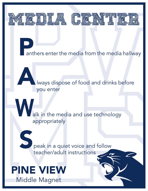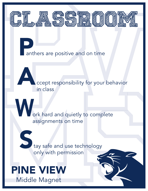